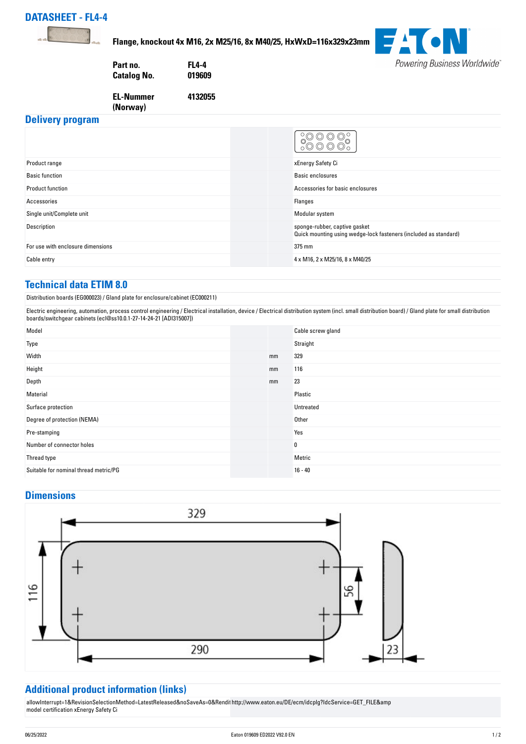



**Flange, knockout 4x M16, 2x M25/16, 8x M40/25, HxWxD=116x329x23mm**



**Part no. FL4-4 Catalog No.** 

**4132055**

**EL-Nummer (Norway)** 

## **Delivery program**

| Product range                     | xEnergy Safety Ci                                                                                 |
|-----------------------------------|---------------------------------------------------------------------------------------------------|
| <b>Basic function</b>             | Basic enclosures                                                                                  |
| <b>Product function</b>           | Accessories for basic enclosures                                                                  |
| Accessories                       | Flanges                                                                                           |
| Single unit/Complete unit         | Modular system                                                                                    |
| Description                       | sponge-rubber, captive gasket<br>Quick mounting using wedge-lock fasteners (included as standard) |
| For use with enclosure dimensions | 375 mm                                                                                            |
| Cable entry                       | 4 x M16, 2 x M25/16, 8 x M40/25                                                                   |

## **Technical data ETIM 8.0**

Distribution boards (EG000023) / Gland plate for enclosure/cabinet (EC000211)

Electric engineering, automation, process control engineering / Electrical installation, device / Electrical distribution system (incl. small distribution board) / Gland plate for small distribution boards/switchgear cabinets (ecl@ss10.0.1-27-14-24-21 [ADI315007])

| Model                                 |    | Cable screw gland |
|---------------------------------------|----|-------------------|
| Type                                  |    | Straight          |
| Width                                 | mm | 329               |
| Height                                | mm | 116               |
| Depth                                 | mm | 23                |
| Material                              |    | Plastic           |
| Surface protection                    |    | Untreated         |
| Degree of protection (NEMA)           |    | Other             |
| Pre-stamping                          |    | Yes               |
| Number of connector holes             |    | $\bf{0}$          |
| Thread type                           |    | Metric            |
| Suitable for nominal thread metric/PG |    | $16 - 40$         |

## **Dimensions**



## **Additional product information (links)**

allowInterrupt=1&RevisionSelectionMethod=LatestReleased&noSaveAs=U&Rendil [http://www.eaton.eu/DE/ecm/idcplg?IdcService=GET\\_FILE&amp](http://www.eaton.eu/DE/ecm/idcplg?IdcService=GET_FILE&) [model certification xEnergy Safety Ci](http://www.eaton.eu/DE/ecm/idcplg?IdcService=GET_FILE&)